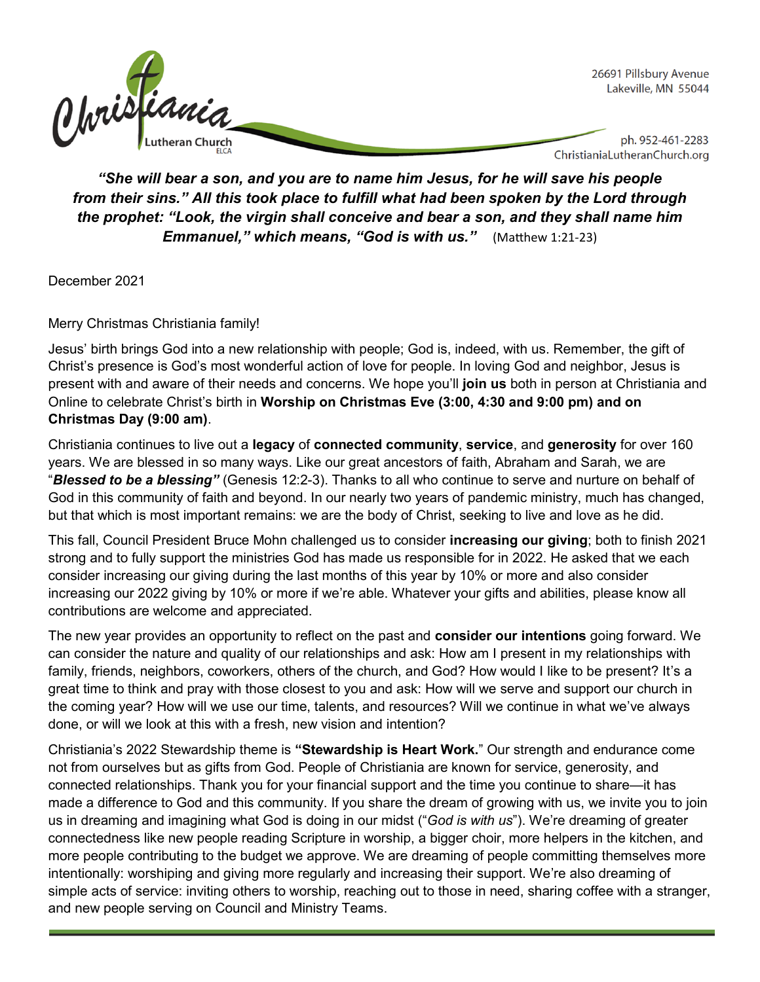

*"She will bear a son, and you are to name him Jesus, for he will save his people from their sins." All this took place to fulfill what had been spoken by the Lord through the prophet: "Look, the virgin shall conceive and bear a son, and they shall name him Emmanuel," which means, "God is with us."* (Matthew 1:21-23)

December 2021

Merry Christmas Christiania family!

Jesus' birth brings God into a new relationship with people; God is, indeed, with us. Remember, the gift of Christ's presence is God's most wonderful action of love for people. In loving God and neighbor, Jesus is present with and aware of their needs and concerns. We hope you'll **join us** both in person at Christiania and Online to celebrate Christ's birth in **Worship on Christmas Eve (3:00, 4:30 and 9:00 pm) and on Christmas Day (9:00 am)**.

Christiania continues to live out a **legacy** of **connected community**, **service**, and **generosity** for over 160 years. We are blessed in so many ways. Like our great ancestors of faith, Abraham and Sarah, we are "*Blessed to be a blessing"* (Genesis 12:2-3). Thanks to all who continue to serve and nurture on behalf of God in this community of faith and beyond. In our nearly two years of pandemic ministry, much has changed, but that which is most important remains: we are the body of Christ, seeking to live and love as he did.

This fall, Council President Bruce Mohn challenged us to consider **increasing our giving**; both to finish 2021 strong and to fully support the ministries God has made us responsible for in 2022. He asked that we each consider increasing our giving during the last months of this year by 10% or more and also consider increasing our 2022 giving by 10% or more if we're able. Whatever your gifts and abilities, please know all contributions are welcome and appreciated.

The new year provides an opportunity to reflect on the past and **consider our intentions** going forward. We can consider the nature and quality of our relationships and ask: How am I present in my relationships with family, friends, neighbors, coworkers, others of the church, and God? How would I like to be present? It's a great time to think and pray with those closest to you and ask: How will we serve and support our church in the coming year? How will we use our time, talents, and resources? Will we continue in what we've always done, or will we look at this with a fresh, new vision and intention?

Christiania's 2022 Stewardship theme is **"Stewardship is Heart Work.**" Our strength and endurance come not from ourselves but as gifts from God. People of Christiania are known for service, generosity, and connected relationships. Thank you for your financial support and the time you continue to share—it has made a difference to God and this community. If you share the dream of growing with us, we invite you to join us in dreaming and imagining what God is doing in our midst ("*God is with us*"). We're dreaming of greater connectedness like new people reading Scripture in worship, a bigger choir, more helpers in the kitchen, and more people contributing to the budget we approve. We are dreaming of people committing themselves more intentionally: worshiping and giving more regularly and increasing their support. We're also dreaming of simple acts of service: inviting others to worship, reaching out to those in need, sharing coffee with a stranger, and new people serving on Council and Ministry Teams.